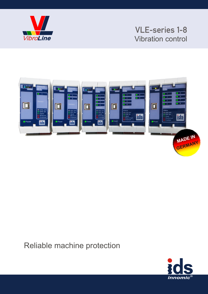

# VLE-series 1-8 Vibration control



# Reliable machine protection

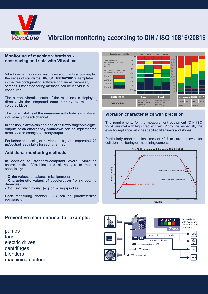

# **Vibration monitoring according to DIN / ISO 10816/20816**

## **Monitoring of machine vibrations cost-saving and safe with VibroLine**

VibroLine monitors your machines and plants according to the series of standards **DIN/ISO 10816/20816**. Templates in the free configuration software contain all necessary settings. Other monitoring methods can be individually configured.

The current vibration state of the machines is displayed directly via the integrated **zone display** by means of coloured LEDs.

The current **status of the measurement chain** is signalyzed individually for each channel.

In addition, **alarms** can be signalyzed in two stages via digital outputs or an **emergency shutdown** can be implemented directly via an changeover relay output.

For further processing of the vibration signal, a separate **4-20 mA** output is available for each channel.

### **Additional monitoring methods**

In addition to standard-compliant overall vibration characteristics, VibroLine also allows you to monitor specifically:

- **Order values** (unbalance, misalignment)
- **Characteristic values of acceleration** (rolling bearing damages)
- **Collision monitoring** (e.g. on milling spindles)

Each measuring channel (1-8) can be parameterized individually.

# **Preventive maintenance, for example:**

pumps fans electric drives centrifuges blenders machining centers



## **Vibration characteristics with precision**

The requirements for the measurement equipment (DIN ISO 2954) are met with high precision with VibroLine, especially the exact compliance with the specified filter limits and slopes.

Particularly short reaction times of <0.7 ms are achieved for collision monitoring on machining centers.



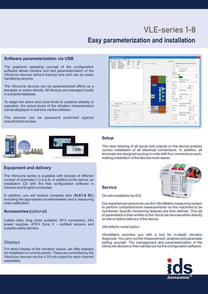# VLE-series 1-8

# **Easy parameterization and installation**

#### **Software parameterization via USB**

The graphical operating concept of the configuration software allows intuitive and fast parameterization of the VibroLine devices without training time and can be easily handled by anyone.

The VibroLine devices can be parameterized offline as a template or online directly. All devices are managed locally in a shared database.

To adapt the alarm and zone limits to systems already in operation, the actual levels of the vibration characteristics can be displayed in real time via the software.

The devices can be password protected against unauthorized access.



### **Equipment and delivery**

The VibroLine series is available with devices of different number of channels (1,2,4,6,8). In addition to the device, an installation CD with the free configuration software in German and English is included.

In addition, you will receive complete sets (**VLE1-8 SC**) including the appropriate accelerometers and a measuring chain calibration.

#### **Accessories (**optional**)**

Cables (also drag chain suitable), M12 connectors, 24V power supplies, ATEX Zone 0 - certified sensors and suitable safety barriers.

### *Displays*

For direct display of the vibration values, we offer displays for installation in control panels. These are controlled by the VibroLine devices via the 4-20 mA output for each channel separately.

| <b>VLE2 89</b>                     | SN<br>Name                    |                                                                           | Online                                    | Sync                                                     | Access                                                |           |                |   |                                  |       | Turbine 559              |      |                                            |                |              |
|------------------------------------|-------------------------------|---------------------------------------------------------------------------|-------------------------------------------|----------------------------------------------------------|-------------------------------------------------------|-----------|----------------|---|----------------------------------|-------|--------------------------|------|--------------------------------------------|----------------|--------------|
| <b>VLE6 312</b><br><b>VLE6 64</b>  | Motor 58x<br><b>VLE8 1078</b> | Vib.-Monitor<br>VibroLine VLE8<br>Generator BK50                          | <b>USB</b><br><b>USB</b><br>USB<br>$\sim$ | $\sim$<br>$\overline{\phantom{a}}$<br>$\cdots$<br>$\sim$ | <b>RW</b><br><b>RW</b><br><b>RW</b><br>$\overline{2}$ | Schematic | Structure      |   |                                  |       | Data                     | Info | Signal processing settings of channel 1    |                |              |
| <b>VLE4 223</b><br><b>VLE4 224</b> |                               | Turbine 559<br>Turbine 560                                                | $\sim$<br>USB                             | $\overline{a}$<br>$\blacksquare$                         | $\overline{2}$<br><b>RW</b>                           |           |                |   |                                  |       | Name                     |      | Signal processing 1                        |                |              |
|                                    |                               |                                                                           |                                           |                                                          |                                                       |           |                |   |                                  |       | Type                     |      | Overall value                              |                | $\check{}$   |
|                                    |                               |                                                                           |                                           |                                                          |                                                       |           |                |   |                                  |       | DSP load<br>This channel |      |                                            |                | 5.3 %        |
|                                    |                               |                                                                           |                                           |                                                          |                                                       | Row       | DO3 24V        |   | S <sub>3</sub><br>S <sub>4</sub> | reor  | Entire device            |      |                                            |                | 242 %        |
|                                    |                               |                                                                           |                                           |                                                          |                                                       |           |                |   |                                  |       |                          |      | Configure overall value                    |                |              |
|                                    |                               |                                                                           |                                           |                                                          |                                                       | Row       | <b>DO1 DO2</b> |   | S <sub>1</sub><br>S <sub>2</sub> | front | Templates                |      | Please select                              | $\;$           | Apply        |
|                                    |                               |                                                                           |                                           |                                                          |                                                       |           | <b>CODE</b>    |   |                                  |       | Filter<br>High pass      |      |                                            | 10.000 Hz      |              |
|                                    |                               |                                                                           |                                           |                                                          |                                                       |           |                |   |                                  |       | Low pass                 |      |                                            | 1000,000 Hz    |              |
|                                    |                               |                                                                           |                                           |                                                          |                                                       |           |                |   | Ē                                |       | Slope                    |      | 60 dB/decade                               | $\check{}$     |              |
|                                    |                               |                                                                           |                                           |                                                          |                                                       |           |                |   |                                  |       |                          |      |                                            |                |              |
|                                    |                               |                                                                           |                                           |                                                          |                                                       |           |                |   | ō                                |       | Output                   |      |                                            |                |              |
|                                    |                               |                                                                           |                                           |                                                          |                                                       |           |                |   | D                                |       | Quantity                 |      | Vibration velocity                         | $\;$           |              |
|                                    |                               |                                                                           |                                           |                                                          |                                                       |           | <b>USB</b>     |   | Ð<br>۰                           |       | Unit                     |      | mm/s                                       | $\check{}$     |              |
|                                    |                               |                                                                           |                                           |                                                          |                                                       |           |                |   |                                  |       | Characteristic RMS.      |      |                                            | $\blacksquare$ |              |
|                                    |                               |                                                                           |                                           |                                                          |                                                       |           |                |   | $\overline{4}$                   |       | Time window              |      |                                            | $1,000$ s      |              |
|                                    | Create template               |                                                                           |                                           | Delete                                                   |                                                       |           |                |   |                                  |       |                          |      | Configure alarm thresholds                 |                |              |
|                                    | √ Show data filters           |                                                                           |                                           |                                                          |                                                       |           |                | ٠ |                                  |       | Templates                |      | Please select                              | $\check{}$     | Apply        |
|                                    |                               |                                                                           |                                           |                                                          |                                                       | Row       | <b>NC</b>      |   | AO1 AO2 front                    |       | Alarm                    |      |                                            | $8.900$ mm/s   |              |
|                                    | Serial number =               | $\tau$                                                                    |                                           |                                                          | $\mathbb{I}$<br>÷                                     |           |                |   | Row NO TRIG AO3 AO4 rear         |       | Warning                  |      |                                            |                | $3,500$ mm/s |
|                                    | Type<br>Channels              |                                                                           | - - E-Variant<br>$- - 1$ channel          |                                                          | $\sim$                                                |           |                |   |                                  |       | Templates                |      | Configure zone thresholds<br>Please select | $\bullet$      | Apply        |
|                                    | Connection                    | $\begin{array}{cccccccccc} \cdots & \cdots & \cdots & \cdots \end{array}$ |                                           |                                                          | ÷.                                                    |           |                |   |                                  |       | Zone C-+D                |      |                                            |                | $7.100$ mm/s |
|                                    | State                         | $  -$                                                                     |                                           |                                                          | $\sim$                                                |           |                |   |                                  |       | Zone B-+C                |      |                                            | $2.800$ mm/s   |              |

### **Setup**

The clear labeling of all inputs and outputs on the device enables correct installation of all electrical connections. In addition, all terminals are designed as plug-in units with four connections each, making installation of the devices even easier.

#### **Service**



*On-site installation by IDS:* 

Our experienced personnel use the VibroMatrix measuring system to perform comprehensive measurements on the machines to be monitored. Specific monitoring features are then defined. This set of parameters is then written to the VibroLine devices either directly on site or before delivery of the device.

#### *VibroMatrix rental option:*

VibroMatrix provides you with a tool for in-depth vibration diagnosis. You carry out the measurement, analysis and parameter setting yourself. The management and parameterization of the VibroLine devices is then carried out via the configuration software.